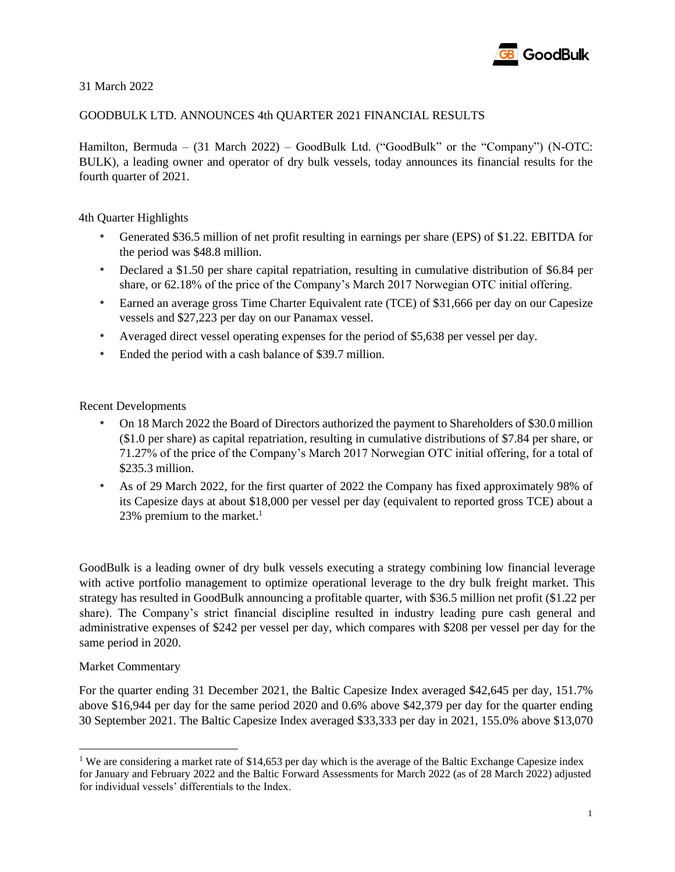

31 March 2022

### GOODBULK LTD. ANNOUNCES 4th QUARTER 2021 FINANCIAL RESULTS

Hamilton, Bermuda – (31 March 2022) – GoodBulk Ltd. ("GoodBulk" or the "Company") (N-OTC: BULK), a leading owner and operator of dry bulk vessels, today announces its financial results for the fourth quarter of 2021.

4th Quarter Highlights

- Generated \$36.5 million of net profit resulting in earnings per share (EPS) of \$1.22. EBITDA for the period was \$48.8 million.
- Declared a \$1.50 per share capital repatriation, resulting in cumulative distribution of \$6.84 per share, or 62.18% of the price of the Company's March 2017 Norwegian OTC initial offering.
- Earned an average gross Time Charter Equivalent rate (TCE) of \$31,666 per day on our Capesize vessels and \$27,223 per day on our Panamax vessel.
- Averaged direct vessel operating expenses for the period of \$5,638 per vessel per day.
- Ended the period with a cash balance of \$39.7 million.

Recent Developments

- On 18 March 2022 the Board of Directors authorized the payment to Shareholders of \$30.0 million (\$1.0 per share) as capital repatriation, resulting in cumulative distributions of \$7.84 per share, or 71.27% of the price of the Company's March 2017 Norwegian OTC initial offering, for a total of \$235.3 million.
- As of 29 March 2022, for the first quarter of 2022 the Company has fixed approximately 98% of its Capesize days at about \$18,000 per vessel per day (equivalent to reported gross TCE) about a 23% premium to the market. $1$

GoodBulk is a leading owner of dry bulk vessels executing a strategy combining low financial leverage with active portfolio management to optimize operational leverage to the dry bulk freight market. This strategy has resulted in GoodBulk announcing a profitable quarter, with \$36.5 million net profit (\$1.22 per share). The Company's strict financial discipline resulted in industry leading pure cash general and administrative expenses of \$242 per vessel per day, which compares with \$208 per vessel per day for the same period in 2020.

#### Market Commentary

For the quarter ending 31 December 2021, the Baltic Capesize Index averaged \$42,645 per day, 151.7% above \$16,944 per day for the same period 2020 and 0.6% above \$42,379 per day for the quarter ending 30 September 2021. The Baltic Capesize Index averaged \$33,333 per day in 2021, 155.0% above \$13,070

<sup>&</sup>lt;sup>1</sup> We are considering a market rate of \$14,653 per day which is the average of the Baltic Exchange Capesize index for January and February 2022 and the Baltic Forward Assessments for March 2022 (as of 28 March 2022) adjusted for individual vessels' differentials to the Index.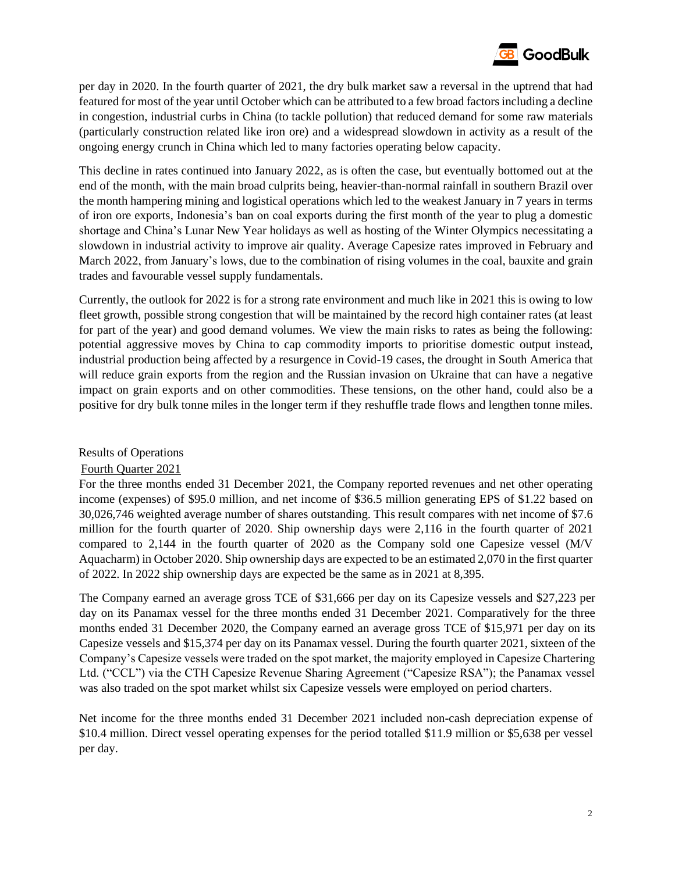

per day in 2020. In the fourth quarter of 2021, the dry bulk market saw a reversal in the uptrend that had featured for most of the year until October which can be attributed to a few broad factors including a decline in congestion, industrial curbs in China (to tackle pollution) that reduced demand for some raw materials (particularly construction related like iron ore) and a widespread slowdown in activity as a result of the ongoing energy crunch in China which led to many factories operating below capacity.

This decline in rates continued into January 2022, as is often the case, but eventually bottomed out at the end of the month, with the main broad culprits being, heavier-than-normal rainfall in southern Brazil over the month hampering mining and logistical operations which led to the weakest January in 7 years in terms of iron ore exports, Indonesia's ban on coal exports during the first month of the year to plug a domestic shortage and China's Lunar New Year holidays as well as hosting of the Winter Olympics necessitating a slowdown in industrial activity to improve air quality. Average Capesize rates improved in February and March 2022, from January's lows, due to the combination of rising volumes in the coal, bauxite and grain trades and favourable vessel supply fundamentals.

Currently, the outlook for 2022 is for a strong rate environment and much like in 2021 this is owing to low fleet growth, possible strong congestion that will be maintained by the record high container rates (at least for part of the year) and good demand volumes. We view the main risks to rates as being the following: potential aggressive moves by China to cap commodity imports to prioritise domestic output instead, industrial production being affected by a resurgence in Covid-19 cases, the drought in South America that will reduce grain exports from the region and the Russian invasion on Ukraine that can have a negative impact on grain exports and on other commodities. These tensions, on the other hand, could also be a positive for dry bulk tonne miles in the longer term if they reshuffle trade flows and lengthen tonne miles.

Results of Operations

#### Fourth Quarter 2021

For the three months ended 31 December 2021, the Company reported revenues and net other operating income (expenses) of \$95.0 million, and net income of \$36.5 million generating EPS of \$1.22 based on 30,026,746 weighted average number of shares outstanding. This result compares with net income of \$7.6 million for the fourth quarter of 2020. Ship ownership days were 2,116 in the fourth quarter of 2021 compared to 2,144 in the fourth quarter of 2020 as the Company sold one Capesize vessel (M/V Aquacharm) in October 2020. Ship ownership days are expected to be an estimated 2,070 in the first quarter of 2022. In 2022 ship ownership days are expected be the same as in 2021 at 8,395.

The Company earned an average gross TCE of \$31,666 per day on its Capesize vessels and \$27,223 per day on its Panamax vessel for the three months ended 31 December 2021. Comparatively for the three months ended 31 December 2020, the Company earned an average gross TCE of \$15,971 per day on its Capesize vessels and \$15,374 per day on its Panamax vessel. During the fourth quarter 2021, sixteen of the Company's Capesize vessels were traded on the spot market, the majority employed in Capesize Chartering Ltd. ("CCL") via the CTH Capesize Revenue Sharing Agreement ("Capesize RSA"); the Panamax vessel was also traded on the spot market whilst six Capesize vessels were employed on period charters.

Net income for the three months ended 31 December 2021 included non-cash depreciation expense of \$10.4 million. Direct vessel operating expenses for the period totalled \$11.9 million or \$5,638 per vessel per day.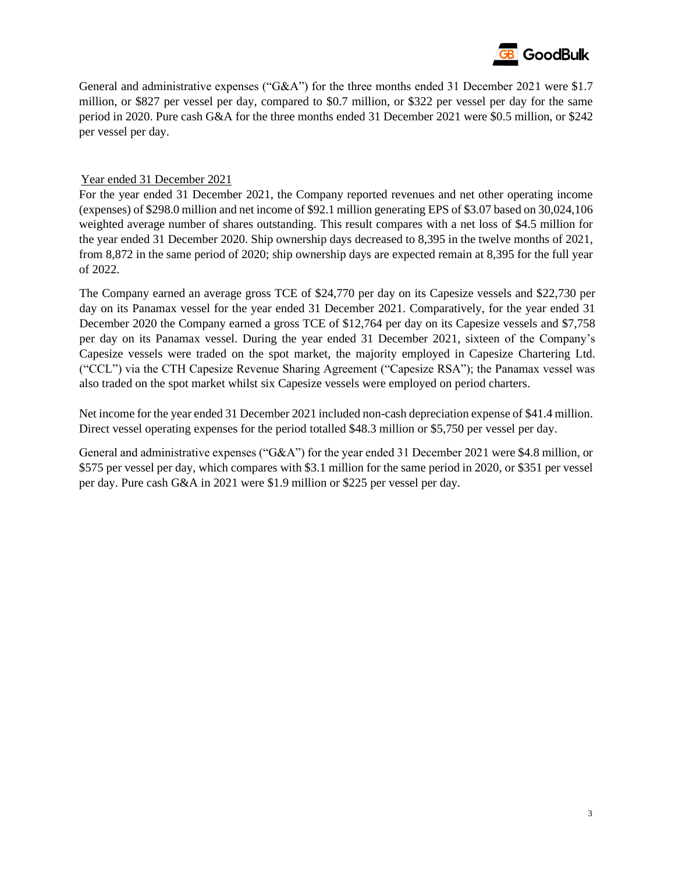

General and administrative expenses ("G&A") for the three months ended 31 December 2021 were \$1.7 million, or \$827 per vessel per day, compared to \$0.7 million, or \$322 per vessel per day for the same period in 2020. Pure cash G&A for the three months ended 31 December 2021 were \$0.5 million, or \$242 per vessel per day.

#### Year ended 31 December 2021

For the year ended 31 December 2021, the Company reported revenues and net other operating income (expenses) of \$298.0 million and net income of \$92.1 million generating EPS of \$3.07 based on 30,024,106 weighted average number of shares outstanding. This result compares with a net loss of \$4.5 million for the year ended 31 December 2020. Ship ownership days decreased to 8,395 in the twelve months of 2021, from 8,872 in the same period of 2020; ship ownership days are expected remain at 8,395 for the full year of 2022.

The Company earned an average gross TCE of \$24,770 per day on its Capesize vessels and \$22,730 per day on its Panamax vessel for the year ended 31 December 2021. Comparatively, for the year ended 31 December 2020 the Company earned a gross TCE of \$12,764 per day on its Capesize vessels and \$7,758 per day on its Panamax vessel. During the year ended 31 December 2021, sixteen of the Company's Capesize vessels were traded on the spot market, the majority employed in Capesize Chartering Ltd. ("CCL") via the CTH Capesize Revenue Sharing Agreement ("Capesize RSA"); the Panamax vessel was also traded on the spot market whilst six Capesize vessels were employed on period charters.

Net income for the year ended 31 December 2021 included non-cash depreciation expense of \$41.4 million. Direct vessel operating expenses for the period totalled \$48.3 million or \$5,750 per vessel per day.

General and administrative expenses ("G&A") for the year ended 31 December 2021 were \$4.8 million, or \$575 per vessel per day, which compares with \$3.1 million for the same period in 2020, or \$351 per vessel per day. Pure cash G&A in 2021 were \$1.9 million or \$225 per vessel per day.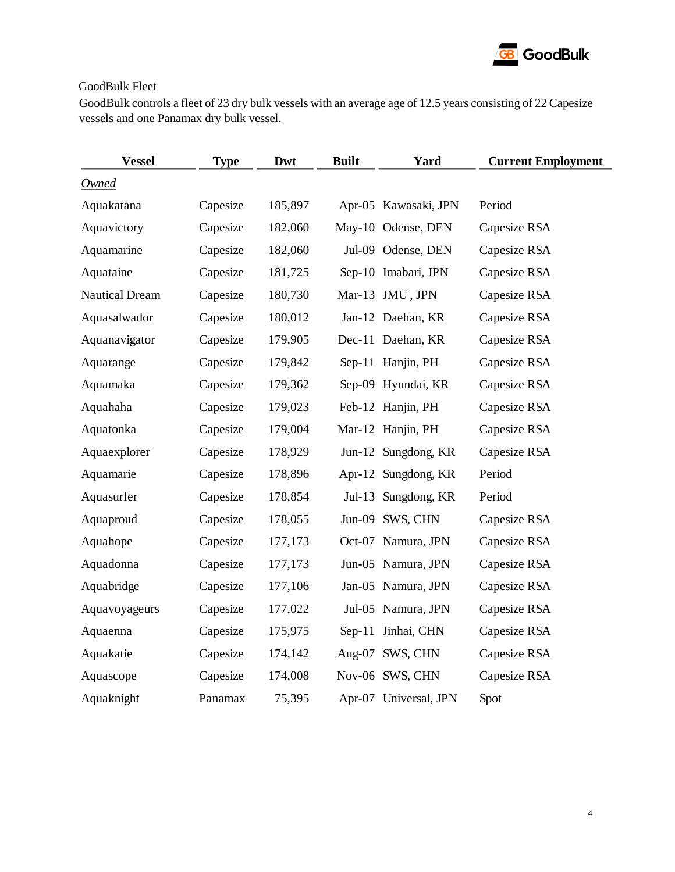

## GoodBulk Fleet

GoodBulk controls a fleet of 23 dry bulk vessels with an average age of 12.5 years consisting of 22 Capesize vessels and one Panamax dry bulk vessel.

| <b>Vessel</b>         | <b>Type</b> | Dwt     | <b>Built</b> | Yard                  | <b>Current Employment</b> |
|-----------------------|-------------|---------|--------------|-----------------------|---------------------------|
| <b>Owned</b>          |             |         |              |                       |                           |
| Aquakatana            | Capesize    | 185,897 |              | Apr-05 Kawasaki, JPN  | Period                    |
| Aquavictory           | Capesize    | 182,060 |              | May-10 Odense, DEN    | Capesize RSA              |
| Aquamarine            | Capesize    | 182,060 |              | Jul-09 Odense, DEN    | Capesize RSA              |
| Aquataine             | Capesize    | 181,725 |              | Sep-10 Imabari, JPN   | Capesize RSA              |
| <b>Nautical Dream</b> | Capesize    | 180,730 |              | Mar-13 JMU, JPN       | Capesize RSA              |
| Aquasalwador          | Capesize    | 180,012 |              | Jan-12 Daehan, KR     | Capesize RSA              |
| Aquanavigator         | Capesize    | 179,905 |              | Dec-11 Daehan, KR     | Capesize RSA              |
| Aquarange             | Capesize    | 179,842 |              | Sep-11 Hanjin, PH     | Capesize RSA              |
| Aquamaka              | Capesize    | 179,362 |              | Sep-09 Hyundai, KR    | Capesize RSA              |
| Aquahaha              | Capesize    | 179,023 |              | Feb-12 Hanjin, PH     | Capesize RSA              |
| Aquatonka             | Capesize    | 179,004 |              | Mar-12 Hanjin, PH     | Capesize RSA              |
| Aquaexplorer          | Capesize    | 178,929 |              | Jun-12 Sungdong, KR   | Capesize RSA              |
| Aquamarie             | Capesize    | 178,896 |              | Apr-12 Sungdong, KR   | Period                    |
| Aquasurfer            | Capesize    | 178,854 |              | Jul-13 Sungdong, KR   | Period                    |
| Aquaproud             | Capesize    | 178,055 |              | Jun-09 SWS, CHN       | Capesize RSA              |
| Aquahope              | Capesize    | 177,173 |              | Oct-07 Namura, JPN    | Capesize RSA              |
| Aquadonna             | Capesize    | 177,173 |              | Jun-05 Namura, JPN    | Capesize RSA              |
| Aquabridge            | Capesize    | 177,106 |              | Jan-05 Namura, JPN    | Capesize RSA              |
| Aquavoyageurs         | Capesize    | 177,022 |              | Jul-05 Namura, JPN    | Capesize RSA              |
| Aquaenna              | Capesize    | 175,975 |              | Sep-11 Jinhai, CHN    | Capesize RSA              |
| Aquakatie             | Capesize    | 174,142 |              | Aug-07 SWS, CHN       | Capesize RSA              |
| Aquascope             | Capesize    | 174,008 |              | Nov-06 SWS, CHN       | Capesize RSA              |
| Aquaknight            | Panamax     | 75,395  |              | Apr-07 Universal, JPN | Spot                      |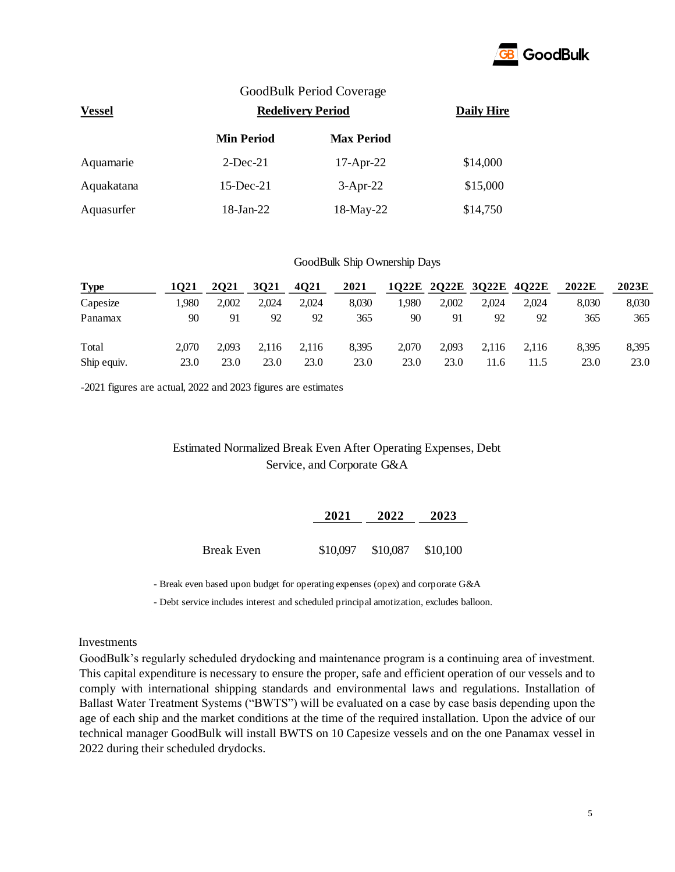

### GoodBulk Period Coverage

| <b>Vessel</b> | <b>Redelivery Period</b> | <b>Daily Hire</b> |          |
|---------------|--------------------------|-------------------|----------|
|               | <b>Min Period</b>        | <b>Max Period</b> |          |
| Aquamarie     | $2$ -Dec-21              | $17-Apr-22$       | \$14,000 |
| Aquakatana    | $15$ -Dec-21             | $3-Apr-22$        | \$15,000 |
| Aquasurfer    | 18-Jan-22                | 18-May-22         | \$14,750 |

#### GoodBulk Ship Ownership Days

| <b>Type</b> | 1021  | 2021  | 3021  | 4Q21  | 2021  |       | 1Q22E 2Q22E 3Q22E 4Q22E |       |       | 2022E | 2023E |
|-------------|-------|-------|-------|-------|-------|-------|-------------------------|-------|-------|-------|-------|
| Capesize    | 1.980 | 2.002 | 2.024 | 2.024 | 8.030 | l.980 | 2,002                   | 2.024 | 2.024 | 8.030 | 8,030 |
| Panamax     | 90    | 91    | 92    | 92    | 365   | 90    | 91                      | 92    | 92    | 365   | 365   |
| Total       | 2.070 | 2.093 | 2.116 | 2.116 | 8.395 | 2.070 | 2.093                   | 2.116 | 2.116 | 8.395 | 8,395 |
| Ship equiv. | 23.0  | 23.0  | 23.0  | 23.0  | 23.0  | 23.0  | 23.0                    | 1.6   | 11.5  | 23.0  | 23.0  |

-2021 figures are actual, 2022 and 2023 figures are estimates

### Estimated Normalized Break Even After Operating Expenses, Debt Service, and Corporate G&A

|                   | 2021     | 2022                | 2023 |  |
|-------------------|----------|---------------------|------|--|
| <b>Break Even</b> | \$10,097 | $$10,087$ $$10,100$ |      |  |

- Break even based upon budget for operating expenses (opex) and corporate G&A

- Debt service includes interest and scheduled principal amotization, excludes balloon.

#### Investments

GoodBulk's regularly scheduled drydocking and maintenance program is a continuing area of investment. This capital expenditure is necessary to ensure the proper, safe and efficient operation of our vessels and to comply with international shipping standards and environmental laws and regulations. Installation of Ballast Water Treatment Systems ("BWTS") will be evaluated on a case by case basis depending upon the age of each ship and the market conditions at the time of the required installation. Upon the advice of our technical manager GoodBulk will install BWTS on 10 Capesize vessels and on the one Panamax vessel in 2022 during their scheduled drydocks.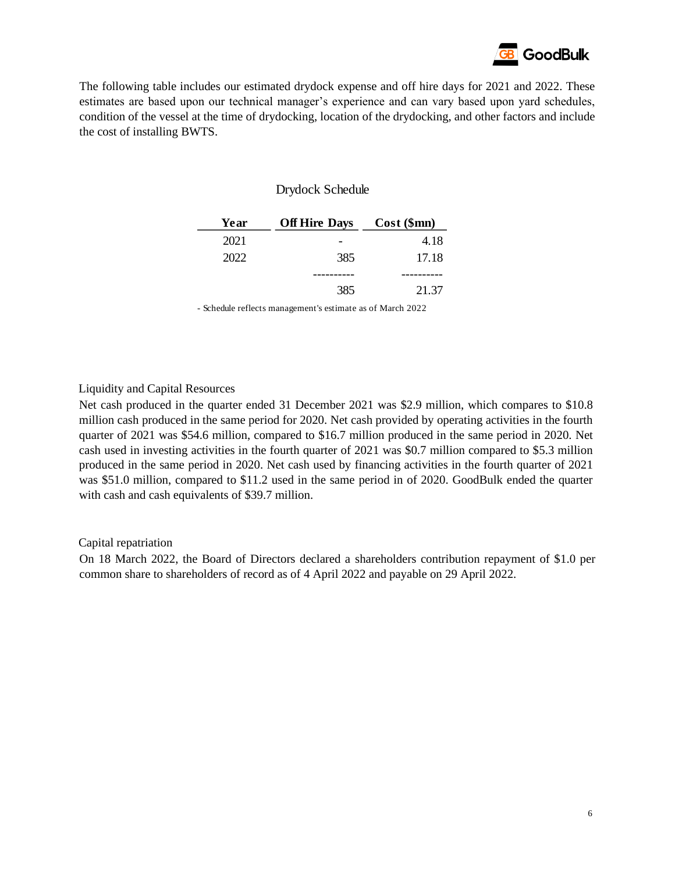

The following table includes our estimated drydock expense and off hire days for 2021 and 2022. These estimates are based upon our technical manager's experience and can vary based upon yard schedules, condition of the vessel at the time of drydocking, location of the drydocking, and other factors and include the cost of installing BWTS.

### Drydock Schedule

| Year | <b>Off Hire Days</b> | $Cost$ (\$mn) |
|------|----------------------|---------------|
| 2021 |                      | 4.18          |
| 2022 | 385                  | 17.18         |
|      |                      |               |
|      | 385                  | 21.37         |

- Schedule reflects management's estimate as of March 2022

### Liquidity and Capital Resources

Net cash produced in the quarter ended 31 December 2021 was \$2.9 million, which compares to \$10.8 million cash produced in the same period for 2020. Net cash provided by operating activities in the fourth quarter of 2021 was \$54.6 million, compared to \$16.7 million produced in the same period in 2020. Net cash used in investing activities in the fourth quarter of 2021 was \$0.7 million compared to \$5.3 million produced in the same period in 2020. Net cash used by financing activities in the fourth quarter of 2021 was \$51.0 million, compared to \$11.2 used in the same period in of 2020. GoodBulk ended the quarter with cash and cash equivalents of \$39.7 million.

#### Capital repatriation

On 18 March 2022, the Board of Directors declared a shareholders contribution repayment of \$1.0 per common share to shareholders of record as of 4 April 2022 and payable on 29 April 2022.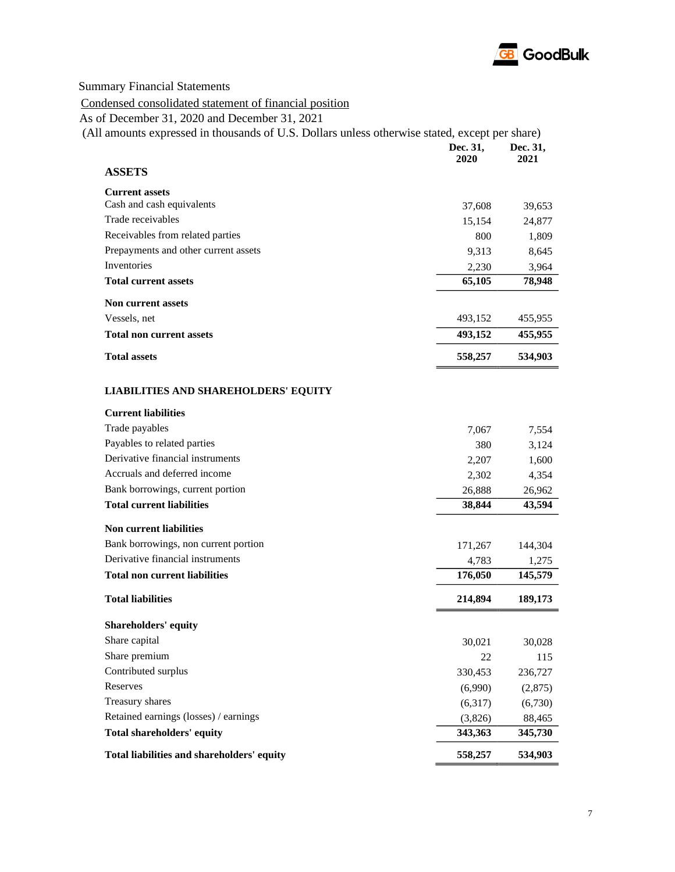

Summary Financial Statements

# Condensed consolidated statement of financial position

As of December 31, 2020 and December 31, 2021

|                                             | Dec. 31,<br>2020 | Dec. 31,<br>2021 |
|---------------------------------------------|------------------|------------------|
| <b>ASSETS</b>                               |                  |                  |
| <b>Current assets</b>                       |                  |                  |
| Cash and cash equivalents                   | 37,608           | 39,653           |
| Trade receivables                           | 15,154           | 24,877           |
| Receivables from related parties            | 800              | 1,809            |
| Prepayments and other current assets        | 9,313            | 8,645            |
| Inventories                                 | 2,230            | 3,964            |
| <b>Total current assets</b>                 | 65,105           | 78,948           |
| <b>Non current assets</b>                   |                  |                  |
| Vessels, net                                | 493,152          | 455,955          |
| <b>Total non current assets</b>             | 493,152          | 455,955          |
| <b>Total assets</b>                         | 558,257          | 534,903          |
| <b>LIABILITIES AND SHAREHOLDERS' EQUITY</b> |                  |                  |
| <b>Current liabilities</b>                  |                  |                  |
| Trade payables                              | 7,067            | 7,554            |
| Payables to related parties                 | 380              | 3,124            |
| Derivative financial instruments            | 2,207            | 1,600            |
| Accruals and deferred income                | 2,302            | 4,354            |
| Bank borrowings, current portion            | 26,888           | 26,962           |
| <b>Total current liabilities</b>            | 38,844           | 43,594           |
| <b>Non current liabilities</b>              |                  |                  |
| Bank borrowings, non current portion        | 171,267          | 144,304          |
| Derivative financial instruments            | 4,783            | 1,275            |
| <b>Total non current liabilities</b>        | 176,050          | 145,579          |
| <b>Total liabilities</b>                    | 214,894          | 189,173          |
| Shareholders' equity                        |                  |                  |
| Share capital                               | 30,021           | 30,028           |
| Share premium                               | 22               | 115              |
| Contributed surplus                         | 330,453          | 236,727          |
| Reserves                                    | (6,990)          | (2,875)          |
| Treasury shares                             | (6,317)          | (6,730)          |
| Retained earnings (losses) / earnings       | (3,826)          | 88,465           |
| <b>Total shareholders' equity</b>           | 343,363          | 345,730          |
| Total liabilities and shareholders' equity  | 558,257          | 534,903          |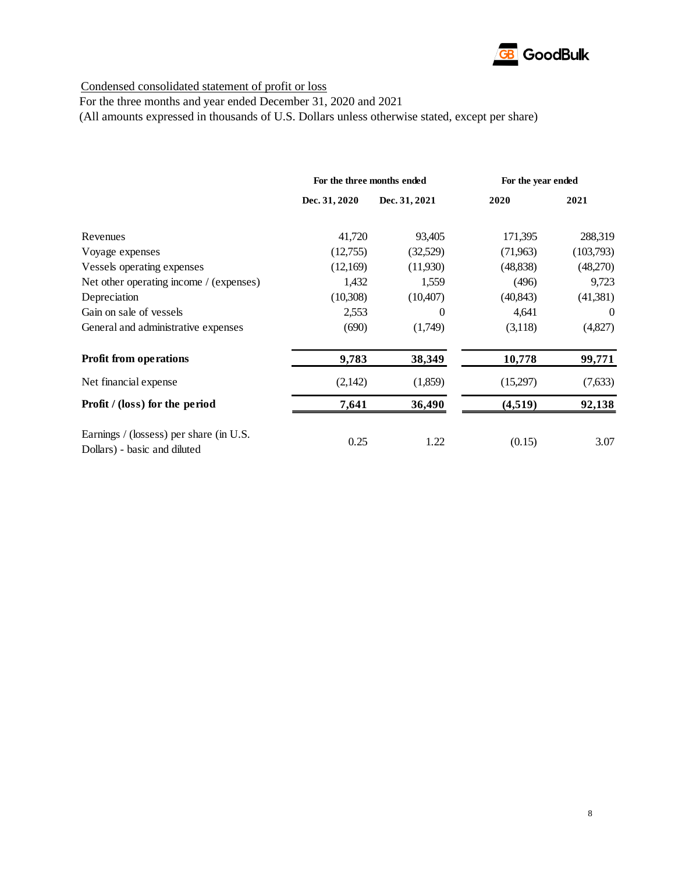

Condensed consolidated statement of profit or loss

For the three months and year ended December 31, 2020 and 2021

(All amounts expressed in thousands of U.S. Dollars unless otherwise stated, except per share)

|                                                                         | For the three months ended |               | For the year ended |           |
|-------------------------------------------------------------------------|----------------------------|---------------|--------------------|-----------|
|                                                                         | Dec. 31, 2020              | Dec. 31, 2021 | 2020               | 2021      |
| Revenues                                                                | 41,720                     | 93,405        | 171,395            | 288,319   |
| Voyage expenses                                                         | (12,755)                   | (32,529)      | (71,963)           | (103,793) |
| Vessels operating expenses                                              | (12,169)                   | (11,930)      | (48, 838)          | (48,270)  |
| Net other operating income / (expenses)                                 | 1,432                      | 1,559         | (496)              | 9,723     |
| Depreciation                                                            | (10,308)                   | (10,407)      | (40, 843)          | (41,381)  |
| Gain on sale of vessels                                                 | 2,553                      | 0             | 4,641              | $\theta$  |
| General and administrative expenses                                     | (690)                      | (1,749)       | (3,118)            | (4,827)   |
| <b>Profit from operations</b>                                           | 9,783                      | 38,349        | 10,778             | 99,771    |
| Net financial expense                                                   | (2,142)                    | (1,859)       | (15,297)           | (7,633)   |
| Profit / (loss) for the period                                          | 7,641                      | 36,490        | (4,519)            | 92,138    |
| Earnings / (lossess) per share (in U.S.<br>Dollars) - basic and diluted | 0.25                       | 1.22          | (0.15)             | 3.07      |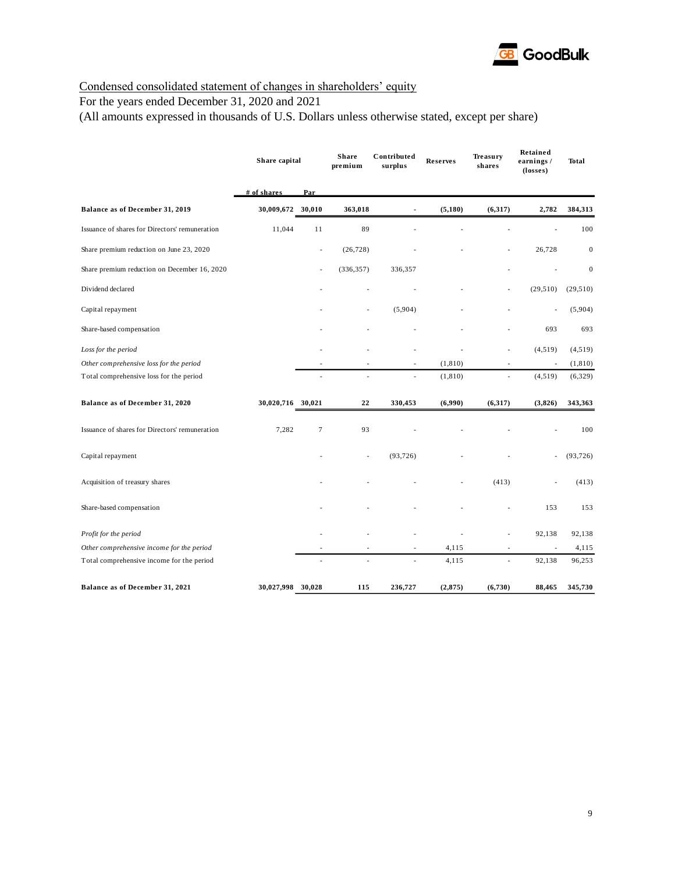

## Condensed consolidated statement of changes in shareholders' equity

## For the years ended December 31, 2020 and 2021

(All amounts expressed in thousands of U.S. Dollars unless otherwise stated, except per share)

|                                                | Share capital     |                          | <b>Share</b><br>Contributed<br>premium<br>surplus |           | <b>Reserves</b> | Treasury<br>shares | Retained<br>earnings /<br>(losses) | <b>Total</b>     |
|------------------------------------------------|-------------------|--------------------------|---------------------------------------------------|-----------|-----------------|--------------------|------------------------------------|------------------|
|                                                | # of shares       | Par                      |                                                   |           |                 |                    |                                    |                  |
| Balance as of December 31, 2019                | 30,009,672        | 30,010                   | 363,018                                           |           | (5, 180)        | (6,317)            | 2,782                              | 384,313          |
| Issuance of shares for Directors' remuneration | 11,044            | 11                       | 89                                                |           |                 |                    |                                    | 100              |
| Share premium reduction on June 23, 2020       |                   | $\overline{\phantom{a}}$ | (26, 728)                                         |           |                 |                    | 26,728                             | $\boldsymbol{0}$ |
| Share premium reduction on December 16, 2020   |                   |                          | (336, 357)                                        | 336,357   |                 |                    |                                    | $\boldsymbol{0}$ |
| Dividend declared                              |                   |                          |                                                   |           |                 |                    | (29, 510)                          | (29, 510)        |
| Capital repayment                              |                   |                          | ٠                                                 | (5,904)   |                 |                    | $\overline{a}$                     | (5,904)          |
| Share-based compensation                       |                   |                          |                                                   |           |                 |                    | 693                                | 693              |
| Loss for the period                            |                   |                          |                                                   |           |                 |                    | (4, 519)                           | (4,519)          |
| Other comprehensive loss for the period        |                   |                          |                                                   | ٠         | (1, 810)        |                    | $\overline{\phantom{a}}$           | (1, 810)         |
| Total comprehensive loss for the period        |                   |                          |                                                   | Ĭ.        | (1, 810)        |                    | (4, 519)                           | (6, 329)         |
| Balance as of December 31, 2020                | 30,020,716 30,021 |                          | 22                                                | 330,453   | (6,990)         | (6,317)            | (3,826)                            | 343,363          |
| Issuance of shares for Directors' remuneration | 7,282             | $7\phantom{.0}$          | 93                                                |           |                 |                    |                                    | 100              |
| Capital repayment                              |                   |                          | ×,                                                | (93, 726) |                 |                    |                                    | (93, 726)        |
| Acquisition of treasury shares                 |                   |                          |                                                   |           |                 | (413)              |                                    | (413)            |
| Share-based compensation                       |                   |                          |                                                   |           |                 |                    | 153                                | 153              |
| Profit for the period                          |                   |                          |                                                   |           |                 |                    | 92,138                             | 92,138           |
| Other comprehensive income for the period      |                   |                          |                                                   |           | 4,115           |                    | $\overline{\phantom{a}}$           | 4,115            |
| Total comprehensive income for the period      |                   |                          | ä,                                                | ź         | 4,115           | ÷,                 | 92,138                             | 96,253           |
| Balance as of December 31, 2021                | 30,027,998 30,028 |                          | 115                                               | 236,727   | (2, 875)        | (6,730)            | 88,465                             | 345,730          |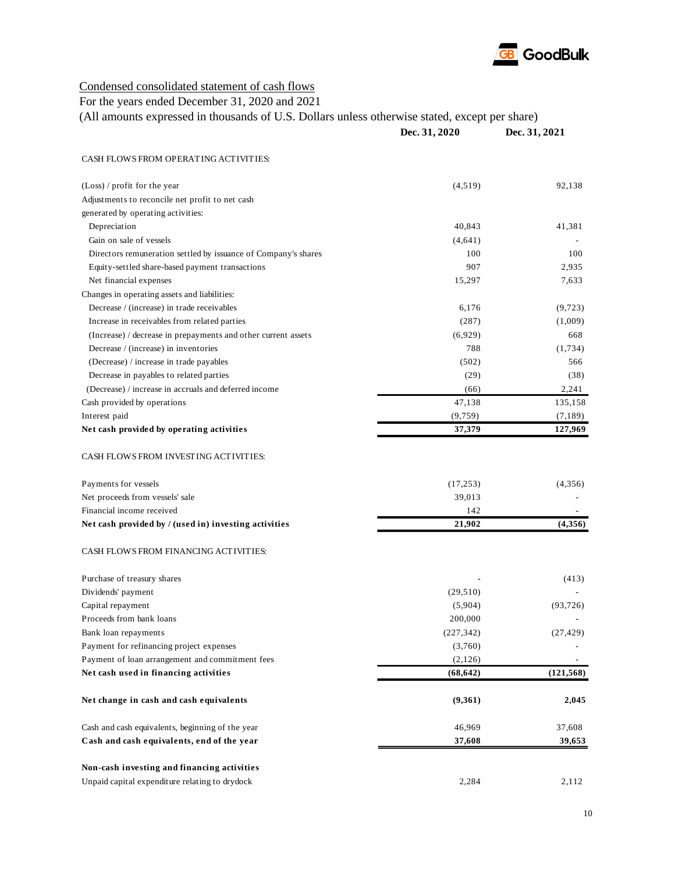

## Condensed consolidated statement of cash flows

For the years ended December 31, 2020 and 2021

| (All amounts expressed in thousands of U.S. Dollars unless otherwise stated, except per share) |
|------------------------------------------------------------------------------------------------|
|------------------------------------------------------------------------------------------------|

|                                                                | Dec. 31, 2020 | Dec. 31, 2021  |
|----------------------------------------------------------------|---------------|----------------|
| CASH FLOWS FROM OPERATING ACTIVITIES:                          |               |                |
| $(Loss) / profit$ for the year                                 | (4,519)       | 92,138         |
| Adjustments to reconcile net profit to net cash                |               |                |
| generated by operating activities:                             |               |                |
| Depreciation                                                   | 40,843        | 41,381         |
| Gain on sale of vessels                                        | (4,641)       |                |
| Directors remuneration settled by issuance of Company's shares | 100           | 100            |
| Equity-settled share-based payment transactions                | 907           | 2,935          |
| Net financial expenses                                         | 15,297        | 7,633          |
| Changes in operating assets and liabilities:                   |               |                |
| Decrease / (increase) in trade receivables                     | 6,176         | (9, 723)       |
| Increase in receivables from related parties                   | (287)         | (1,009)        |
| (Increase) / decrease in prepayments and other current assets  | (6,929)       | 668            |
| Decrease / (increase) in inventories                           | 788           | (1,734)        |
| (Decrease) / increase in trade payables                        | (502)         | 566            |
| Decrease in payables to related parties                        | (29)          | (38)           |
| (Decrease) / increase in accruals and deferred income          | (66)          | 2,241          |
| Cash provided by operations                                    | 47,138        | 135,158        |
| Interest paid                                                  | (9, 759)      | (7,189)        |
| Net cash provided by operating activities                      | 37,379        | 127,969        |
| CASH FLOWS FROM INVESTING ACTIVITIES:                          |               |                |
| Payments for vessels                                           | (17, 253)     | (4,356)        |
| Net proceeds from vessels' sale                                | 39,013        |                |
| Financial income received                                      | 142           |                |
| Net cash provided by / (used in) investing activities          | 21,902        | (4,356)        |
| CASH FLOWS FROM FINANCING ACTIVITIES:                          |               |                |
| Purchase of treasury shares                                    |               | (413)          |
| Dividends' payment                                             | (29, 510)     |                |
| Capital repayment                                              | (5,904)       | (93, 726)      |
| Proceeds from bank loans                                       | 200,000       |                |
| Bank loan repayments                                           | (227, 342)    | (27, 429)      |
| Payment for refinancing project expenses                       | (3,760)       |                |
| Payment of loan arrangement and commitment fees                | (2,126)       | $\blacksquare$ |
| Net cash used in financing activities                          | (68, 642)     | (121, 568)     |
| Net change in cash and cash equivalents                        | (9,361)       | 2,045          |
| Cash and cash equivalents, beginning of the year               | 46,969        | 37,608         |
| Cash and cash equivalents, end of the year                     | 37,608        | 39,653         |
| Non-cash investing and financing activities                    |               |                |
| Unpaid capital expenditure relating to drydock                 | 2,284         | 2,112          |